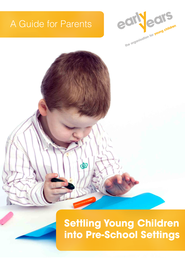## A Guide for Parents







# **Settling Young Children into Pre-School Settings**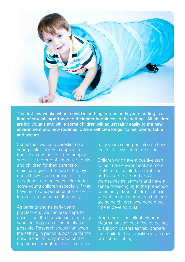

The first few weeks when a child is settling into an early years setting is a time of crucial importance to their later happiness in the setting. All children are individuals and while some children will adjust fairly easily to the new environment and new routines, others will take longer to feel comfortable and secure.

Sometimes we can overestimate a young child's ability to cope with transitions and settle in and happily substitute a group of unfamiliar adults and children for their parents or main care giver. The lure of the toys doesn't always compensate! The experience can be overwhelming for some young children especially if they have not had experience of another form of care outside of the family.

As parents and as early years practitioners, we can take steps to ensure that the transition into the early years setting goes as smoothly as possible. Research shows that when the settling in period is positive for the child, it can not only impact on their happiness throughout their time at the

early years setting but also on how the child views future transitions.

Children who have a positive start to their new environment are more likely to feel comfortable, relaxed and valued, feel good about themselves as learners and have a sense of belonging to the pre-school community. Most children settle in without too many concerns but there are some children who need more time to develop trust.

Programme Consultant, Eleanor Mearns, has set out a few guidelines to support parents as they prepare their child for the transition into a new pre-school setting.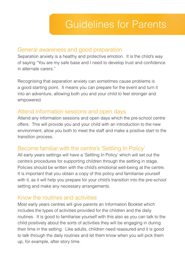## General awareness and good preparation

Separation anxiety is a healthy and protective emotion. It is the child's way of saying "You are my safe base and I need to develop trust and confidence in alternate carers."

Recognising that separation anxiety can sometimes cause problems is a good starting point. It means you can prepare for the event and turn it into an adventure, allowing both you and your child to feel stronger and empowered.

## Attend information sessions and open days

Attend any information sessions and open days which the pre-school centre offers. This will provide you and your child with an introduction to the new environment, allow you both to meet the staff and make a positive start to the transition process.

## Become familiar with the centre's 'Settling In Policy'

All early years settings will have a 'Settling In Policy' which will set out the centre's procedures for supporting children through the settling in stage. Policies should be written with the child's emotional well-being at the centre. It is important that you obtain a copy of this policy and familiarise yourself with it, as it will help you prepare for your child's transition into the pre-school setting and make any necessary arrangements.

## Know the routines and activities

Most early years centres will give parents an Information Booklet which includes the types of activities provided for the children and the daily routines. It is good to familiarise yourself with this also as you can talk to the child positively about the sorts of activities they will be engaging in during their time in the setting. Like adults, children need reassured and it is good to talk through the daily routines and let them know when you will pick them up, for example, after story time.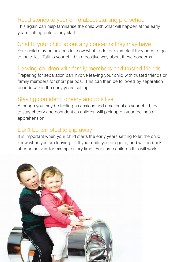## Read stories to your child about starting pre-school

This again can help familiarise the child with what will happen at the early years setting before they start.

#### Chat to your child about any concerns they may have

Your child may be anxious to know what to do for example if they need to go to the toilet. Talk to your child in a positive way about these concerns.

## Leaving children with family members and trusted friends

Preparing for separation can involve leaving your child with trusted friends or family members for short periods. This can then be followed by separation periods within the early years setting.

#### Staying confident, cheery and positive

Although you may be feeling as anxious and emotional as your child, try to stay cheery and confident as children will pick up on your feelings of apprehension.

## Don't be tempted to slip away

It is important when your child starts the early years setting to let the child know when you are leaving. Tell your child you are going and will be back after an activity, for example story time. For some children this will work

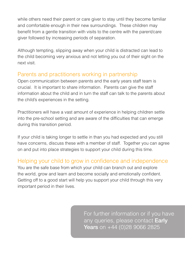while others need their parent or care giver to stay until they become familiar and comfortable enough in their new surroundings. These children may benefit from a gentle transition with visits to the centre with the parent/care giver followed by increasing periods of separation.

Although tempting, slipping away when your child is distracted can lead to the child becoming very anxious and not letting you out of their sight on the next visit.

## Parents and practitioners working in partnership

Open communication between parents and the early years staff team is crucial. It is important to share information. Parents can give the staff information about the child and in turn the staff can talk to the parents about the child's experiences in the setting.

Practitioners will have a vast amount of experience in helping children settle into the pre-school setting and are aware of the difficulties that can emerge during this transition period.

If your child is taking longer to settle in than you had expected and you still have concerns, discuss these with a member of staff. Together you can agree on and put into place strategies to support your child during this time.

## Helping your child to grow in confidence and independence

You are the safe base from which your child can branch out and explore the world, grow and learn and become socially and emotionally confident. Getting off to a good start will help you support your child through this very important period in their lives.

> For further information or if you have any queries, please contact Early Years on +44 (0)28 9066 2825